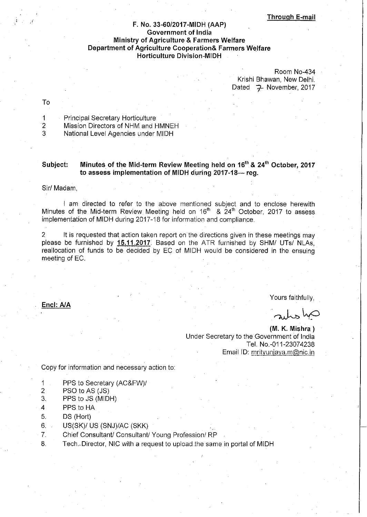### F. No. 33-60/2017-MIDH (AAP) **Government of India** Ministry of Agriculture & Farmers Welfare **Department of Agriculture Cooperation& Farmers Welfare Horticulture Division-MIDH**

Room No-434 Krishi Bhawan, New Delhi, Dated 7 November, 2017

To

- $\mathbf{1}$ Principal Secretary Horticulture
- Mission Directors of NHM and HMNEH  $\overline{2}$
- 3 National Level Agencies under MIDH

#### Minutes of the Mid-term Review Meeting held on 16<sup>th</sup> & 24<sup>th</sup> October, 2017 Subject: to assess implementation of MIDH during 2017-18--- reg.

#### Sir/ Madam,

I am directed to refer to the above mentioned subject and to enclose herewith Minutes of the Mid-term Review Meeting held on 16<sup>th</sup> & 24<sup>th</sup> October, 2017 to assess implementation of MIDH during 2017-18 for information and compliance.

2 It is requested that action taken report on the directions given in these meetings may please be furnished by 15.11.2017. Based on the ATR furnished by SHM/ UTs/ NLAs. reallocation of funds to be decided by EC of MIDH would be considered in the ensuing meeting of EC.

Encl: A/A

Yours faithfully.

arles hp

(M. K. Mishra) Under Secretary to the Government of India Tel. No.-011-23074238 Email ID: mrityunjaya.m@nic.in

Copy for information and necessary action to:

- 1 PPS to Secretary (AC&FW)/
- $\overline{a}$ PSO to AS (JS)
- PPS to JS (MIDH) 3.
- $\overline{A}$ PPS to HA
- 5. DS (Hort)
- 6. US(SK)/ US (SNJ)/AC (SKK)
- 7. Chief Consultant/ Consultant/ Young Profession/ RP
- 8. Tech. Director, NIC with a request to upload the same in portal of MIDH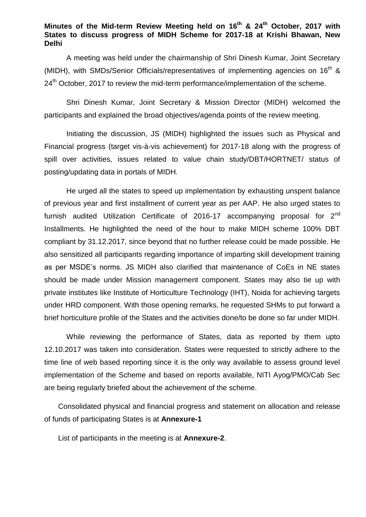### **Minutes of the Mid-term Review Meeting held on 16th & 24th October, 2017 with States to discuss progress of MIDH Scheme for 2017-18 at Krishi Bhawan, New Delhi**

A meeting was held under the chairmanship of Shri Dinesh Kumar, Joint Secretary (MIDH), with SMDs/Senior Officials/representatives of implementing agencies on  $16<sup>th</sup>$  & 24<sup>th</sup> October, 2017 to review the mid-term performance/implementation of the scheme.

Shri Dinesh Kumar, Joint Secretary & Mission Director (MIDH) welcomed the participants and explained the broad objectives/agenda points of the review meeting.

Initiating the discussion, JS (MIDH) highlighted the issues such as Physical and Financial progress (target vis-à-vis achievement) for 2017-18 along with the progress of spill over activities, issues related to value chain study/DBT/HORTNET/ status of posting/updating data in portals of MIDH.

He urged all the states to speed up implementation by exhausting unspent balance of previous year and first installment of current year as per AAP. He also urged states to furnish audited Utilization Certificate of 2016-17 accompanying proposal for  $2^{nd}$ Installments. He highlighted the need of the hour to make MIDH scheme 100% DBT compliant by 31.12.2017, since beyond that no further release could be made possible. He also sensitized all participants regarding importance of imparting skill development training as per MSDE's norms. JS MIDH also clarified that maintenance of CoEs in NE states should be made under Mission management component. States may also tie up with private institutes like Institute of Horticulture Technology (IHT), Noida for achieving targets under HRD component. With those opening remarks, he requested SHMs to put forward a brief horticulture profile of the States and the activities done/to be done so far under MIDH.

While reviewing the performance of States, data as reported by them upto 12.10.2017 was taken into consideration. States were requested to strictly adhere to the time line of web based reporting since it is the only way available to assess ground level implementation of the Scheme and based on reports available, NITI Ayog/PMO/Cab Sec are being regularly briefed about the achievement of the scheme.

Consolidated physical and financial progress and statement on allocation and release of funds of participating States is at **Annexure-1**

List of participants in the meeting is at **Annexure-2**.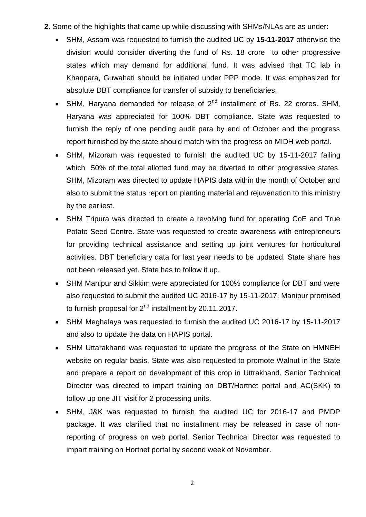- **2.** Some of the highlights that came up while discussing with SHMs/NLAs are as under:
	- SHM, Assam was requested to furnish the audited UC by **15-11-2017** otherwise the division would consider diverting the fund of Rs. 18 crore to other progressive states which may demand for additional fund. It was advised that TC lab in Khanpara, Guwahati should be initiated under PPP mode. It was emphasized for absolute DBT compliance for transfer of subsidy to beneficiaries.
	- SHM, Haryana demanded for release of  $2<sup>nd</sup>$  installment of Rs. 22 crores. SHM, Haryana was appreciated for 100% DBT compliance. State was requested to furnish the reply of one pending audit para by end of October and the progress report furnished by the state should match with the progress on MIDH web portal.
	- SHM, Mizoram was requested to furnish the audited UC by 15-11-2017 failing which 50% of the total allotted fund may be diverted to other progressive states. SHM, Mizoram was directed to update HAPIS data within the month of October and also to submit the status report on planting material and rejuvenation to this ministry by the earliest.
	- SHM Tripura was directed to create a revolving fund for operating CoE and True Potato Seed Centre. State was requested to create awareness with entrepreneurs for providing technical assistance and setting up joint ventures for horticultural activities. DBT beneficiary data for last year needs to be updated. State share has not been released yet. State has to follow it up.
	- SHM Manipur and Sikkim were appreciated for 100% compliance for DBT and were also requested to submit the audited UC 2016-17 by 15-11-2017. Manipur promised to furnish proposal for  $2<sup>nd</sup>$  installment by 20.11.2017.
	- SHM Meghalaya was requested to furnish the audited UC 2016-17 by 15-11-2017 and also to update the data on HAPIS portal.
	- SHM Uttarakhand was requested to update the progress of the State on HMNEH website on regular basis. State was also requested to promote Walnut in the State and prepare a report on development of this crop in Uttrakhand. Senior Technical Director was directed to impart training on DBT/Hortnet portal and AC(SKK) to follow up one JIT visit for 2 processing units.
	- SHM, J&K was requested to furnish the audited UC for 2016-17 and PMDP package. It was clarified that no installment may be released in case of nonreporting of progress on web portal. Senior Technical Director was requested to impart training on Hortnet portal by second week of November.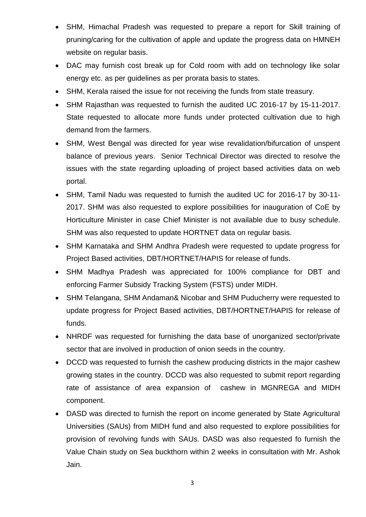- SHM, Himachal Pradesh was requested to prepare a report for Skill training of pruning/caring for the cultivation of apple and update the progress data on HMNEH website on regular basis.
- DAC may furnish cost break up for Cold room with add on technology like solar energy etc. as per guidelines as per prorata basis to states.
- SHM, Kerala raised the issue for not receiving the funds from state treasury.
- SHM Rajasthan was requested to furnish the audited UC 2016-17 by 15-11-2017. State requested to allocate more funds under protected cultivation due to high demand from the farmers.
- SHM, West Bengal was directed for year wise revalidation/bifurcation of unspent balance of previous years. Senior Technical Director was directed to resolve the issues with the state regarding uploading of project based activities data on web portal.
- SHM, Tamil Nadu was requested to furnish the audited UC for 2016-17 by 30-11- 2017. SHM was also requested to explore possibilities for inauguration of CoE by Horticulture Minister in case Chief Minister is not available due to busy schedule. SHM was also requested to update HORTNET data on regular basis.
- SHM Karnataka and SHM Andhra Pradesh were requested to update progress for Project Based activities, DBT/HORTNET/HAPIS for release of funds.
- SHM Madhya Pradesh was appreciated for 100% compliance for DBT and enforcing Farmer Subsidy Tracking System (FSTS) under MIDH.
- SHM Telangana, SHM Andaman& Nicobar and SHM Puducherry were requested to update progress for Project Based activities, DBT/HORTNET/HAPIS for release of funds.
- NHRDF was requested for furnishing the data base of unorganized sector/private sector that are involved in production of onion seeds in the country.
- DCCD was requested to furnish the cashew producing districts in the major cashew growing states in the country. DCCD was also requested to submit report regarding rate of assistance of area expansion of cashew in MGNREGA and MIDH component.
- DASD was directed to furnish the report on income generated by State Agricultural Universities (SAUs) from MIDH fund and also requested to explore possibilities for provision of revolving funds with SAUs. DASD was also requested fo furnish the Value Chain study on Sea buckthorn within 2 weeks in consultation with Mr. Ashok Jain.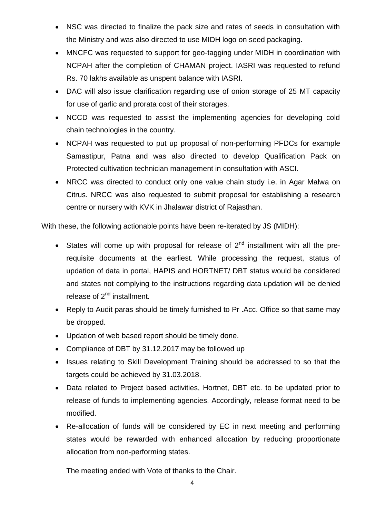- NSC was directed to finalize the pack size and rates of seeds in consultation with the Ministry and was also directed to use MIDH logo on seed packaging.
- MNCFC was requested to support for geo-tagging under MIDH in coordination with NCPAH after the completion of CHAMAN project. IASRI was requested to refund Rs. 70 lakhs available as unspent balance with IASRI.
- DAC will also issue clarification regarding use of onion storage of 25 MT capacity for use of garlic and prorata cost of their storages.
- NCCD was requested to assist the implementing agencies for developing cold chain technologies in the country.
- NCPAH was requested to put up proposal of non-performing PFDCs for example Samastipur, Patna and was also directed to develop Qualification Pack on Protected cultivation technician management in consultation with ASCI.
- NRCC was directed to conduct only one value chain study i.e. in Agar Malwa on Citrus. NRCC was also requested to submit proposal for establishing a research centre or nursery with KVK in Jhalawar district of Rajasthan.

With these, the following actionable points have been re-iterated by JS (MIDH):

- States will come up with proposal for release of  $2<sup>nd</sup>$  installment with all the prerequisite documents at the earliest. While processing the request, status of updation of data in portal, HAPIS and HORTNET/ DBT status would be considered and states not complying to the instructions regarding data updation will be denied release of  $2^{nd}$  installment.
- Reply to Audit paras should be timely furnished to Pr .Acc. Office so that same may be dropped.
- Updation of web based report should be timely done.
- Compliance of DBT by 31.12.2017 may be followed up
- Issues relating to Skill Development Training should be addressed to so that the targets could be achieved by 31.03.2018.
- Data related to Project based activities, Hortnet, DBT etc. to be updated prior to release of funds to implementing agencies. Accordingly, release format need to be modified.
- Re-allocation of funds will be considered by EC in next meeting and performing states would be rewarded with enhanced allocation by reducing proportionate allocation from non-performing states.

The meeting ended with Vote of thanks to the Chair.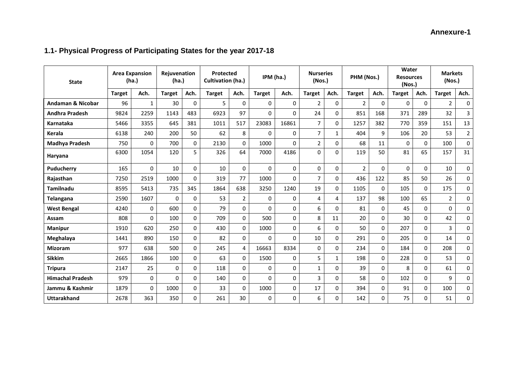# **Annexure-1**

# **1.1- Physical Progress of Participating States for the year 2017-18**

| <b>State</b>            | <b>Area Expansion</b><br>(ha.) |             | Rejuvenation<br>Protected<br><b>Cultivation (ha.)</b><br>(ha.) |             | IPM (ha.)     |                | <b>Nurseries</b><br>(Nos.) |          | PHM (Nos.)     |              | Water<br><b>Resources</b><br>(Nos.) |          | <b>Markets</b><br>(Nos.) |              |                |                |
|-------------------------|--------------------------------|-------------|----------------------------------------------------------------|-------------|---------------|----------------|----------------------------|----------|----------------|--------------|-------------------------------------|----------|--------------------------|--------------|----------------|----------------|
|                         | <b>Target</b>                  | Ach.        | <b>Target</b>                                                  | Ach.        | <b>Target</b> | Ach.           | <b>Target</b>              | Ach.     | <b>Target</b>  | Ach.         | <b>Target</b>                       | Ach.     | <b>Target</b>            | Ach.         | <b>Target</b>  | Ach.           |
| Andaman & Nicobar       | 96                             | 1           | 30                                                             | $\mathbf 0$ | 5             | $\Omega$       | $\Omega$                   | $\Omega$ | 2              | 0            | $\overline{2}$                      | $\Omega$ | $\mathbf 0$              | 0            | 2              | 0              |
| <b>Andhra Pradesh</b>   | 9824                           | 2259        | 1143                                                           | 483         | 6923          | 97             | $\Omega$                   | $\Omega$ | 24             | 0            | 851                                 | 168      | 371                      | 289          | 32             | 3              |
| Karnataka               | 5466                           | 3355        | 645                                                            | 381         | 1011          | 517            | 23083                      | 16861    | $\overline{7}$ | 0            | 1257                                | 382      | 770                      | 359          | 151            | 13             |
| <b>Kerala</b>           | 6138                           | 240         | 200                                                            | 50          | 62            | 8              | $\Omega$                   | $\Omega$ | $\overline{7}$ | $\mathbf{1}$ | 404                                 | 9        | 106                      | 20           | 53             | $\overline{2}$ |
| Madhya Pradesh          | 750                            | $\Omega$    | 700                                                            | $\Omega$    | 2130          | $\Omega$       | 1000                       | $\Omega$ | 2              | 0            | 68                                  | 11       | $\Omega$                 | $\mathbf{0}$ | 100            | 0              |
| Haryana                 | 6300                           | 1054        | 120                                                            | 5           | 326           | 64             | 7000                       | 4186     | 0              | $\Omega$     | 119                                 | 50       | 81                       | 65           | 157            | 31             |
| Puducherry              | 165                            | $\Omega$    | 10                                                             | $\mathbf 0$ | 10            | $\Omega$       | $\Omega$                   | $\Omega$ | 0              | 0            | $\overline{2}$                      | $\Omega$ | $\Omega$                 | $\mathbf{0}$ | 10             | 0              |
| Rajasthan               | 7250                           | 2519        | 1000                                                           | $\Omega$    | 319           | 77             | 1000                       | $\Omega$ | $\overline{7}$ | $\Omega$     | 436                                 | 122      | 85                       | 50           | 26             | 0              |
| <b>Tamilnadu</b>        | 8595                           | 5413        | 735                                                            | 345         | 1864          | 638            | 3250                       | 1240     | 19             | $\mathbf{0}$ | 1105                                | $\Omega$ | 105                      | $\mathbf{0}$ | 175            | 0              |
| <b>Telangana</b>        | 2590                           | 1607        | 0                                                              | $\mathbf 0$ | 53            | $\overline{2}$ | $\mathbf 0$                | $\Omega$ | 4              | 4            | 137                                 | 98       | 100                      | 65           | $\overline{2}$ | 0              |
| <b>West Bengal</b>      | 4240                           | $\Omega$    | 600                                                            | 0           | 79            | $\Omega$       | $\Omega$                   | $\Omega$ | 6              | $\Omega$     | 81                                  | $\Omega$ | 45                       | $\mathbf{0}$ | $\Omega$       | 0              |
| Assam                   | 808                            | $\Omega$    | 100                                                            | $\mathbf 0$ | 709           | $\Omega$       | 500                        | $\Omega$ | 8              | 11           | 20                                  | $\Omega$ | 30                       | $\Omega$     | 42             | 0              |
| <b>Manipur</b>          | 1910                           | 620         | 250                                                            | $\mathbf 0$ | 430           | $\Omega$       | 1000                       | $\Omega$ | 6              | 0            | 50                                  | $\Omega$ | 207                      | 0            | 3              | 0              |
| Meghalaya               | 1441                           | 890         | 150                                                            | 0           | 82            | $\Omega$       | $\Omega$                   | $\Omega$ | 10             | $\Omega$     | 291                                 | $\Omega$ | 205                      | $\Omega$     | 14             | 0              |
| <b>Mizoram</b>          | 977                            | 638         | 500                                                            | 0           | 245           | 4              | 16663                      | 8334     | 0              | 0            | 234                                 | $\Omega$ | 184                      | $\mathbf{0}$ | 208            | 0              |
| <b>Sikkim</b>           | 2665                           | 1866        | 100                                                            | 0           | 63            | $\Omega$       | 1500                       | $\Omega$ | 5              | $\mathbf{1}$ | 198                                 | $\Omega$ | 228                      | $\Omega$     | 53             | 0              |
| <b>Tripura</b>          | 2147                           | 25          | $\mathbf 0$                                                    | $\mathbf 0$ | 118           | $\Omega$       | $\Omega$                   | $\Omega$ | $\mathbf{1}$   | $\Omega$     | 39                                  | $\Omega$ | 8                        | $\Omega$     | 61             | 0              |
| <b>Himachal Pradesh</b> | 979                            | $\mathbf 0$ | $\Omega$                                                       | 0           | 140           | $\Omega$       | $\Omega$                   | $\Omega$ | 3              | 0            | 58                                  | $\Omega$ | 102                      | 0            | 9              | 0              |
| Jammu & Kashmir         | 1879                           | $\Omega$    | 1000                                                           | 0           | 33            | $\Omega$       | 1000                       | $\Omega$ | 17             | $\Omega$     | 394                                 | $\Omega$ | 91                       | $\mathbf{0}$ | 100            | 0              |
| <b>Uttarakhand</b>      | 2678                           | 363         | 350                                                            | 0           | 261           | 30             | $\Omega$                   | $\Omega$ | 6              | $\mathbf{0}$ | 142                                 | $\Omega$ | 75                       | 0            | 51             | 0              |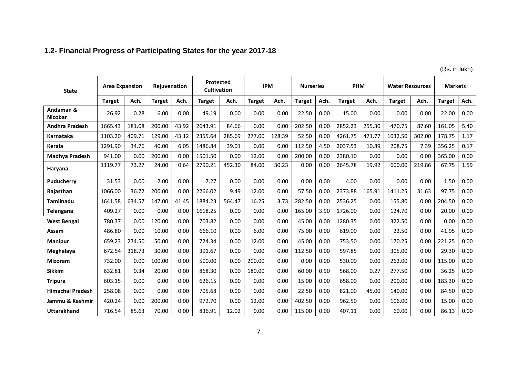# **1.2- Financial Progress of Participating States for the year 2017-18**

(Rs. in lakh)

| <b>State</b>                |               | <b>Area Expansion</b><br>Rejuvenation |               |       | <b>Protected</b><br><b>Cultivation</b> |        | <b>IPM</b>    |        | <b>Nurseries</b> |      | <b>PHM</b>    |        | <b>Water Resources</b> |        | <b>Markets</b> |      |
|-----------------------------|---------------|---------------------------------------|---------------|-------|----------------------------------------|--------|---------------|--------|------------------|------|---------------|--------|------------------------|--------|----------------|------|
|                             | <b>Target</b> | Ach.                                  | <b>Target</b> | Ach.  | <b>Target</b>                          | Ach.   | <b>Target</b> | Ach.   | <b>Target</b>    | Ach. | <b>Target</b> | Ach.   | <b>Target</b>          | Ach.   | <b>Target</b>  | Ach. |
| Andaman &<br><b>Nicobar</b> | 26.92         | 0.28                                  | 6.00          | 0.00  | 49.19                                  | 0.00   | 0.00          | 0.00   | 22.50            | 0.00 | 15.00         | 0.00   | 0.00                   | 0.00   | 22.00          | 0.00 |
| <b>Andhra Pradesh</b>       | 1665.43       | 181.08                                | 200.00        | 43.92 | 2643.91                                | 84.66  | 0.00          | 0.00   | 202.50           | 0.00 | 2852.23       | 255.30 | 470.75                 | 87.60  | 161.05         | 5.40 |
| <b>Karnataka</b>            | 1103.20       | 409.71                                | 129.00        | 43.12 | 2355.64                                | 285.69 | 277.00        | 128.39 | 52.50            | 0.00 | 4261.75       | 471.77 | 1032.50                | 302.00 | 178.75         | 1.17 |
| <b>Kerala</b>               | 1291.90       | 34.76                                 | 40.00         | 6.05  | 1486.84                                | 39.01  | 0.00          | 0.00   | 112.50           | 4.50 | 2037.53       | 10.89  | 208.75                 | 7.39   | 356.25         | 0.17 |
| <b>Madhya Pradesh</b>       | 941.00        | 0.00                                  | 200.00        | 0.00  | 1501.50                                | 0.00   | 12.00         | 0.00   | 200.00           | 0.00 | 2380.10       | 0.00   | 0.00                   | 0.00   | 365.00         | 0.00 |
| Haryana                     | 1119.77       | 73.27                                 | 24.00         | 0.64  | 2790.21                                | 452.30 | 84.00         | 30.23  | 0.00             | 0.00 | 2645.78       | 19.92  | 600.00                 | 219.86 | 67.75          | 1.59 |
| <b>Puducherry</b>           | 31.53         | 0.00                                  | 2.00          | 0.00  | 7.27                                   | 0.00   | 0.00          | 0.00   | 0.00             | 0.00 | 4.00          | 0.00   | 0.00                   | 0.00   | 1.50           | 0.00 |
| Rajasthan                   | 1066.00       | 36.72                                 | 200.00        | 0.00  | 2266.02                                | 9.49   | 12.00         | 0.00   | 57.50            | 0.00 | 2373.88       | 165.91 | 1411.25                | 31.63  | 97.75          | 0.00 |
| Tamilnadu                   | 1641.58       | 634.57                                | 147.00        | 41.45 | 1884.23                                | 564.47 | 16.25         | 3.73   | 282.50           | 0.00 | 2536.25       | 0.00   | 155.80                 | 0.00   | 204.50         | 0.00 |
| Telangana                   | 409.27        | 0.00                                  | 0.00          | 0.00  | 1618.25                                | 0.00   | 0.00          | 0.00   | 165.00           | 3.90 | 1726.00       | 0.00   | 124.70                 | 0.00   | 20.00          | 0.00 |
| <b>West Bengal</b>          | 780.37        | 0.00                                  | 120.00        | 0.00  | 703.82                                 | 0.00   | 0.00          | 0.00   | 45.00            | 0.00 | 1280.35       | 0.00   | 322.50                 | 0.00   | 0.00           | 0.00 |
| Assam                       | 486.80        | 0.00                                  | 10.00         | 0.00  | 666.10                                 | 0.00   | 6.00          | 0.00   | 75.00            | 0.00 | 619.00        | 0.00   | 22.50                  | 0.00   | 41.95          | 0.00 |
| <b>Manipur</b>              | 659.23        | 274.50                                | 50.00         | 0.00  | 724.34                                 | 0.00   | 12.00         | 0.00   | 45.00            | 0.00 | 753.50        | 0.00   | 170.25                 | 0.00   | 221.25         | 0.00 |
| Meghalaya                   | 672.54        | 318.73                                | 30.00         | 0.00  | 391.67                                 | 0.00   | 0.00          | 0.00   | 112.50           | 0.00 | 597.85        | 0.00   | 305.00                 | 0.00   | 29.30          | 0.00 |
| <b>Mizoram</b>              | 732.00        | 0.00                                  | 100.00        | 0.00  | 500.00                                 | 0.00   | 200.00        | 0.00   | 0.00             | 0.00 | 530.00        | 0.00   | 262.00                 | 0.00   | 115.00         | 0.00 |
| <b>Sikkim</b>               | 632.81        | 0.34                                  | 20.00         | 0.00  | 868.30                                 | 0.00   | 180.00        | 0.00   | 60.00            | 0.90 | 568.00        | 0.27   | 277.50                 | 0.00   | 36.25          | 0.00 |
| <b>Tripura</b>              | 603.15        | 0.00                                  | 0.00          | 0.00  | 626.15                                 | 0.00   | 0.00          | 0.00   | 15.00            | 0.00 | 658.00        | 0.00   | 200.00                 | 0.00   | 183.30         | 0.00 |
| <b>Himachal Pradesh</b>     | 258.08        | 0.00                                  | 0.00          | 0.00  | 705.68                                 | 0.00   | 0.00          | 0.00   | 22.50            | 0.00 | 821.00        | 45.00  | 140.00                 | 0.00   | 84.50          | 0.00 |
| Jammu & Kashmir             | 420.24        | 0.00                                  | 200.00        | 0.00  | 972.70                                 | 0.00   | 12.00         | 0.00   | 402.50           | 0.00 | 962.50        | 0.00   | 106.00                 | 0.00   | 15.00          | 0.00 |
| Uttarakhand                 | 716.54        | 85.63                                 | 70.00         | 0.00  | 836.91                                 | 12.02  | 0.00          | 0.00   | 115.00           | 0.00 | 407.11        | 0.00   | 60.00                  | 0.00   | 86.13          | 0.00 |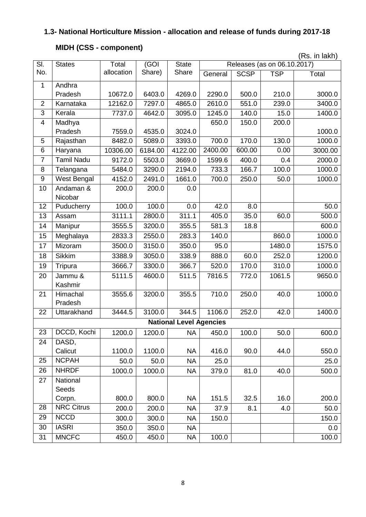# **1.3- National Horticulture Mission - allocation and release of funds during 2017-18**

# **MIDH (CSS - component)**

|                         |                      |            |         |                                |         |             |                             | (Rs. in lakh) |
|-------------------------|----------------------|------------|---------|--------------------------------|---------|-------------|-----------------------------|---------------|
| SI.                     | <b>States</b>        | Total      | (GOI    | <b>State</b>                   |         |             | Releases (as on 06.10.2017) |               |
| No.                     |                      | allocation | Share)  | Share                          | General | <b>SCSP</b> | <b>TSP</b>                  | Total         |
| 1                       | Andhra               |            |         |                                |         |             |                             |               |
|                         | Pradesh              | 10672.0    | 6403.0  | 4269.0                         | 2290.0  | 500.0       | 210.0                       | 3000.0        |
| $\overline{2}$          | Karnataka            | 12162.0    | 7297.0  | 4865.0                         | 2610.0  | 551.0       | 239.0                       | 3400.0        |
| $\overline{3}$          | Kerala               | 7737.0     | 4642.0  | 3095.0                         | 1245.0  | 140.0       | 15.0                        | 1400.0        |
| $\overline{\mathbf{4}}$ | Madhya               |            |         |                                | 650.0   | 150.0       | 200.0                       |               |
|                         | Pradesh              | 7559.0     | 4535.0  | 3024.0                         |         |             |                             | 1000.0        |
| 5                       | Rajasthan            | 8482.0     | 5089.0  | 3393.0                         | 700.0   | 170.0       | 130.0                       | 1000.0        |
| 6                       | Haryana              | 10306.00   | 6184.00 | 4122.00                        | 2400.00 | 600.00      | 0.00                        | 3000.00       |
| $\overline{7}$          | <b>Tamil Nadu</b>    | 9172.0     | 5503.0  | 3669.0                         | 1599.6  | 400.0       | 0.4                         | 2000.0        |
| 8                       | Telangana            | 5484.0     | 3290.0  | 2194.0                         | 733.3   | 166.7       | 100.0                       | 1000.0        |
| $\overline{9}$          | West Bengal          | 4152.0     | 2491.0  | 1661.0                         | 700.0   | 250.0       | 50.0                        | 1000.0        |
| 10                      | Andaman &<br>Nicobar | 200.0      | 200.0   | 0.0                            |         |             |                             |               |
| 12                      | Puducherry           | 100.0      | 100.0   | 0.0                            | 42.0    | 8.0         |                             | 50.0          |
| 13                      | Assam                | 3111.1     | 2800.0  | 311.1                          | 405.0   | 35.0        | 60.0                        | 500.0         |
| 14                      | Manipur              | 3555.5     | 3200.0  | 355.5                          | 581.3   | 18.8        |                             | 600.0         |
| 15                      | Meghalaya            | 2833.3     | 2550.0  | 283.3                          | 140.0   |             | 860.0                       | 1000.0        |
| 17                      | Mizoram              | 3500.0     | 3150.0  | 350.0                          | 95.0    |             | 1480.0                      | 1575.0        |
| 18                      | <b>Sikkim</b>        | 3388.9     | 3050.0  | 338.9                          | 888.0   | 60.0        | 252.0                       | 1200.0        |
| 19                      | Tripura              | 3666.7     | 3300.0  | 366.7                          | 520.0   | 170.0       | 310.0                       | 1000.0        |
| 20                      | Jammu &              | 5111.5     | 4600.0  | 511.5                          | 7816.5  | 772.0       | 1061.5                      | 9650.0        |
|                         | Kashmir              |            |         |                                |         |             |                             |               |
| 21                      | Himachal             | 3555.6     | 3200.0  | 355.5                          | 710.0   | 250.0       | 40.0                        | 1000.0        |
|                         | Pradesh              |            |         |                                |         |             |                             |               |
| 22                      | Uttarakhand          | 3444.5     | 3100.0  | 344.5                          | 1106.0  | 252.0       | 42.0                        | 1400.0        |
|                         |                      |            |         | <b>National Level Agencies</b> |         |             |                             |               |
| 23                      | DCCD, Kochi          | 1200.0     | 1200.0  | <b>NA</b>                      | 450.0   | 100.0       | 50.0                        | 600.0         |
| 24                      | DASD,                |            |         |                                |         |             |                             |               |
|                         | Calicut              | 1100.0     | 1100.0  | <b>NA</b>                      | 416.0   | 90.0        | 44.0                        | 550.0         |
| 25                      | <b>NCPAH</b>         | 50.0       | 50.0    | <b>NA</b>                      | 25.0    |             |                             | 25.0          |
| 26                      | <b>NHRDF</b>         | 1000.0     | 1000.0  | <b>NA</b>                      | 379.0   | 81.0        | 40.0                        | 500.0         |
| 27                      | National             |            |         |                                |         |             |                             |               |
|                         | Seeds                |            |         |                                |         |             |                             |               |
|                         | Corpn.               | 800.0      | 800.0   | <b>NA</b>                      | 151.5   | 32.5        | 16.0                        | 200.0         |
| 28                      | <b>NRC Citrus</b>    | 200.0      | 200.0   | <b>NA</b>                      | 37.9    | 8.1         | 4.0                         | 50.0          |
| 29                      | <b>NCCD</b>          | 300.0      | 300.0   | <b>NA</b>                      | 150.0   |             |                             | 150.0         |
| 30                      | <b>IASRI</b>         | 350.0      | 350.0   | <b>NA</b>                      |         |             |                             | 0.0           |
| 31                      | <b>MNCFC</b>         | 450.0      | 450.0   | <b>NA</b>                      | 100.0   |             |                             | 100.0         |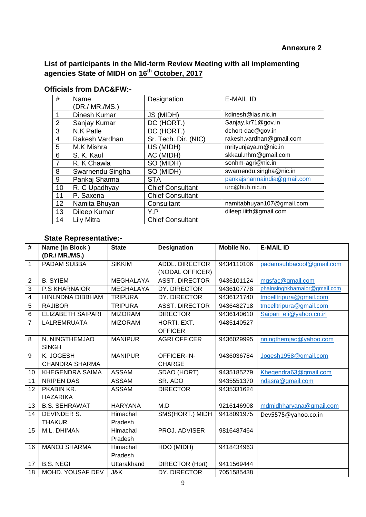**List of participants in the Mid-term Review Meeting with all implementing agencies State of MIDH on 16th October, 2017**

| #              | Name             | Designation             | <b>E-MAIL ID</b>            |
|----------------|------------------|-------------------------|-----------------------------|
|                | (DR./ MR./MS.)   |                         |                             |
|                |                  |                         |                             |
| 1              | Dinesh Kumar     | JS (MIDH)               | kdinesh@ias.nic.in          |
| $\overline{2}$ | Sanjay Kumar     | DC (HORT.)              | Sanjay.kr71@gov.in          |
| 3              | N.K Patle        | DC (HORT.)              | dchort-dac@gov.in           |
| $\overline{4}$ | Rakesh Vardhan   | Sr. Tech. Dir. (NIC)    | rakesh.vardhan@gmail.com    |
| 5              | M.K Mishra       | US (MIDH)               | mrityunjaya.m@nic.in        |
| 6              | S. K. Kaul       | AC (MIDH)               | skkaul.nhm@gmail.com        |
| $\overline{7}$ | R. K Chawla      | SO (MIDH)               | sonhm-agri@nic.in           |
| 8              | Swarnendu Singha | SO (MIDH)               | swarnendu.singha@nic.in     |
| 9              | Pankaj Sharma    | <b>STA</b>              | pankajsharmaindia@gmail.com |
| 10             | R. C Upadhyay    | <b>Chief Consultant</b> | urc@hub.nic.in              |
| 11             | P. Saxena        | <b>Chief Consultant</b> |                             |
| 12             | Namita Bhuyan    | Consultant              | namitabhuyan107@gmail.com   |
| 13             | Dileep Kumar     | Y.P                     | dileep.iiith@gmail.com      |
| 14             | Lily Mitra       | <b>Chief Consultant</b> |                             |

### **Officials from DAC&FW:-**

## **State Representative:-**

| #            | Name (In Block)          | <b>State</b>     | <b>Designation</b>     | <b>Mobile No.</b> | <b>E-MAIL ID</b>              |
|--------------|--------------------------|------------------|------------------------|-------------------|-------------------------------|
|              | (DR./ MR./MS.)           |                  |                        |                   |                               |
| 1            | PADAM SUBBA              | <b>SIKKIM</b>    | <b>ADDL. DIRECTOR</b>  | 9434110106        | padamsubbacool@gmail.com      |
|              |                          |                  | (NODAL OFFICER)        |                   |                               |
| $\mathbf{2}$ | <b>B. SYIEM</b>          | <b>MEGHALAYA</b> | <b>ASST. DIRECTOR</b>  | 9436101124        | mgsfac@gmail.com              |
| 3            | <b>P.S KHARNAIOR</b>     | <b>MEGHALAYA</b> | DY. DIRECTOR           | 9436107778        | phainsinghkharnaior@gmail.com |
| 4            | HINLNDNA DIBBHAM         | <b>TRIPURA</b>   | DY. DIRECTOR           | 9436121740        | tmcelltripura@gmail.com       |
| 5            | <b>RAJIBOR</b>           | <b>TRIPURA</b>   | <b>ASST. DIRECTOR</b>  | 9436482718        | tmcelltripura@gmail.com       |
| 6            | <b>ELIZABETH SAIPARI</b> | <b>MIZORAM</b>   | <b>DIRECTOR</b>        | 9436140610        | Saipari_eli@yahoo.co.in       |
| 7            | LALREMRUATA              | <b>MIZORAM</b>   | HORTI. EXT.            | 9485140527        |                               |
|              |                          |                  | <b>OFFICER</b>         |                   |                               |
| 8            | N. NINGTHEMJAO           | <b>MANIPUR</b>   | <b>AGRI OFFICER</b>    | 9436029995        | nningthemjao@yahoo.com        |
|              | <b>SINGH</b>             |                  |                        |                   |                               |
| 9            | K. JOGESH                | <b>MANIPUR</b>   | OFFICER-IN-            | 9436036784        | Jogesh1958@gmail.com          |
|              | <b>CHANDRA SHARMA</b>    |                  | <b>CHARGE</b>          |                   |                               |
| 10           | <b>KHEGENDRA SAIMA</b>   | <b>ASSAM</b>     | SDAO (HORT)            | 9435185279        | Khegendra63@gmail.com         |
| 11           | <b>NRIPEN DAS</b>        | <b>ASSAM</b>     | SR. ADO                | 9435551370        | ndasra@gmail.com              |
| 12           | PKABIN KR.               | <b>ASSAM</b>     | <b>DIRECTOR</b>        | 9435331624        |                               |
|              | <b>HAZARIKA</b>          |                  |                        |                   |                               |
| 13           | <b>B.S. SEHRAWAT</b>     | <b>HARYANA</b>   | M.D                    | 9216146908        | mdmidhharyana@gmail.com       |
| 14           | <b>DEVINDER S.</b>       | Himachal         | SMS(HORT.) MIDH        | 9418091975        | Dev5575@yahoo.co.in           |
|              | <b>THAKUR</b>            | Pradesh          |                        |                   |                               |
| 15           | M.L. DHIMAN              | Himachal         | PROJ. ADVISER          | 9816487464        |                               |
|              |                          | Pradesh          |                        |                   |                               |
| 16           | <b>MANOJ SHARMA</b>      | Himachal         | HDO (MIDH)             | 9418434963        |                               |
|              |                          | Pradesh          |                        |                   |                               |
| 17           | <b>B.S. NEGI</b>         | Uttarakhand      | <b>DIRECTOR (Hort)</b> | 9411569444        |                               |
| 18           | MOHD. YOUSAF DEV         | J&K              | DY. DIRECTOR           | 7051585438        |                               |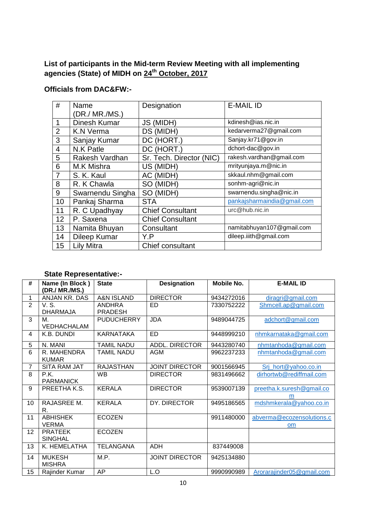## **List of participants in the Mid-term Review Meeting with all implementing agencies (State) of MIDH on 24th October, 2017**

## **Officials from DAC&FW:-**

| #              | Name             | Designation              | <b>E-MAIL ID</b>            |
|----------------|------------------|--------------------------|-----------------------------|
|                | (DR./ MR./MS.)   |                          |                             |
|                | Dinesh Kumar     | JS (MIDH)                | kdinesh@ias.nic.in          |
| $\overline{2}$ | <b>K.N Verma</b> | DS (MIDH)                | kedarverma27@gmail.com      |
| 3              | Sanjay Kumar     | DC (HORT.)               | Sanjay.kr71@gov.in          |
| 4              | N.K Patle        | DC (HORT.)               | dchort-dac@gov.in           |
| 5              | Rakesh Vardhan   | Sr. Tech. Director (NIC) | rakesh.vardhan@gmail.com    |
| 6              | M.K Mishra       | US (MIDH)                | mrityunjaya.m@nic.in        |
|                | S. K. Kaul       | AC (MIDH)                | skkaul.nhm@gmail.com        |
| 8              | R. K Chawla      | SO (MIDH)                | sonhm-agri@nic.in           |
| 9              | Swarnendu Singha | SO (MIDH)                | swarnendu.singha@nic.in     |
| 10             | Pankaj Sharma    | <b>STA</b>               | pankajsharmaindia@gmail.com |
| 11             | R. C Upadhyay    | <b>Chief Consultant</b>  | urc@hub.nic.in              |
| 12             | P. Saxena        | <b>Chief Consultant</b>  |                             |
| 13             | Namita Bhuyan    | Consultant               | namitabhuyan107@gmail.com   |
| 14             | Dileep Kumar     | Y.P                      | dileep.iiith@gmail.com      |
| 15             | Lily Mitra       | Chief consultant         |                             |

## **State Representative:-**

| #              | Name (In Block)<br>(DR./ MR./MS.) | <b>State</b>                    | <b>Designation</b>    | Mobile No. | <b>E-MAIL ID</b>                       |
|----------------|-----------------------------------|---------------------------------|-----------------------|------------|----------------------------------------|
| 1              | ANJAN KR. DAS                     | <b>A&amp;N ISLAND</b>           | <b>DIRECTOR</b>       | 9434272016 | diragri@gmail.com                      |
| $\overline{2}$ | V. S.<br><b>DHARMAJA</b>          | <b>ANDHRA</b><br><b>PRADESH</b> | <b>ED</b>             | 7330752222 | Shmcell.ap@gmail.com                   |
| 3              | М.<br>VEDHACHALAM                 | <b>PUDUCHERRY</b>               | <b>JDA</b>            | 9489044725 | adchort@gmail.com                      |
| 4              | K.B. DUNDI                        | <b>KARNATAKA</b>                | <b>ED</b>             | 9448999210 | nhmkarnataka@gmail.com                 |
| 5              | N. MANI                           | <b>TAMIL NADU</b>               | ADDL. DIRECTOR        | 9443280740 | nhmtanhoda@gmail.com                   |
| 6              | R. MAHENDRA<br><b>KUMAR</b>       | <b>TAMIL NADU</b>               | AGM                   | 9962237233 | nhmtanhoda@gmail.com                   |
| $\overline{7}$ | <b>SITA RAM JAT</b>               | <b>RAJASTHAN</b>                | <b>JOINT DIRECTOR</b> | 9001566945 | Srj_hort@yahoo.co.in                   |
| 8              | P.K.<br><b>PARMANICK</b>          | <b>WB</b>                       | <b>DIRECTOR</b>       | 9831496662 | dirhortwb@rediffmail.com               |
| 9              | PREETHA K.S.                      | <b>KERALA</b>                   | <b>DIRECTOR</b>       | 9539007139 | preetha.k.suresh@gmail.co<br>m         |
| 10             | RAJASREE M.<br>R.                 | <b>KERALA</b>                   | DY. DIRECTOR          | 9495186565 | mdshmkerala@yahoo.co.in                |
| 11             | <b>ABHISHEK</b><br><b>VERMA</b>   | <b>ECOZEN</b>                   |                       | 9911480000 | abverma@ecozensolutions.c<br><b>om</b> |
| 12             | <b>PRATEEK</b><br><b>SINGHAL</b>  | <b>ECOZEN</b>                   |                       |            |                                        |
| 13             | K. HEMELATHA                      | <b>TELANGANA</b>                | <b>ADH</b>            | 837449008  |                                        |
| 14             | <b>MUKESH</b><br><b>MISHRA</b>    | M.P.                            | <b>JOINT DIRECTOR</b> | 9425134880 |                                        |
| 15             | Rajinder Kumar                    | AP                              | L.O                   | 9990990989 | Arorarajinder05@gmail.com              |